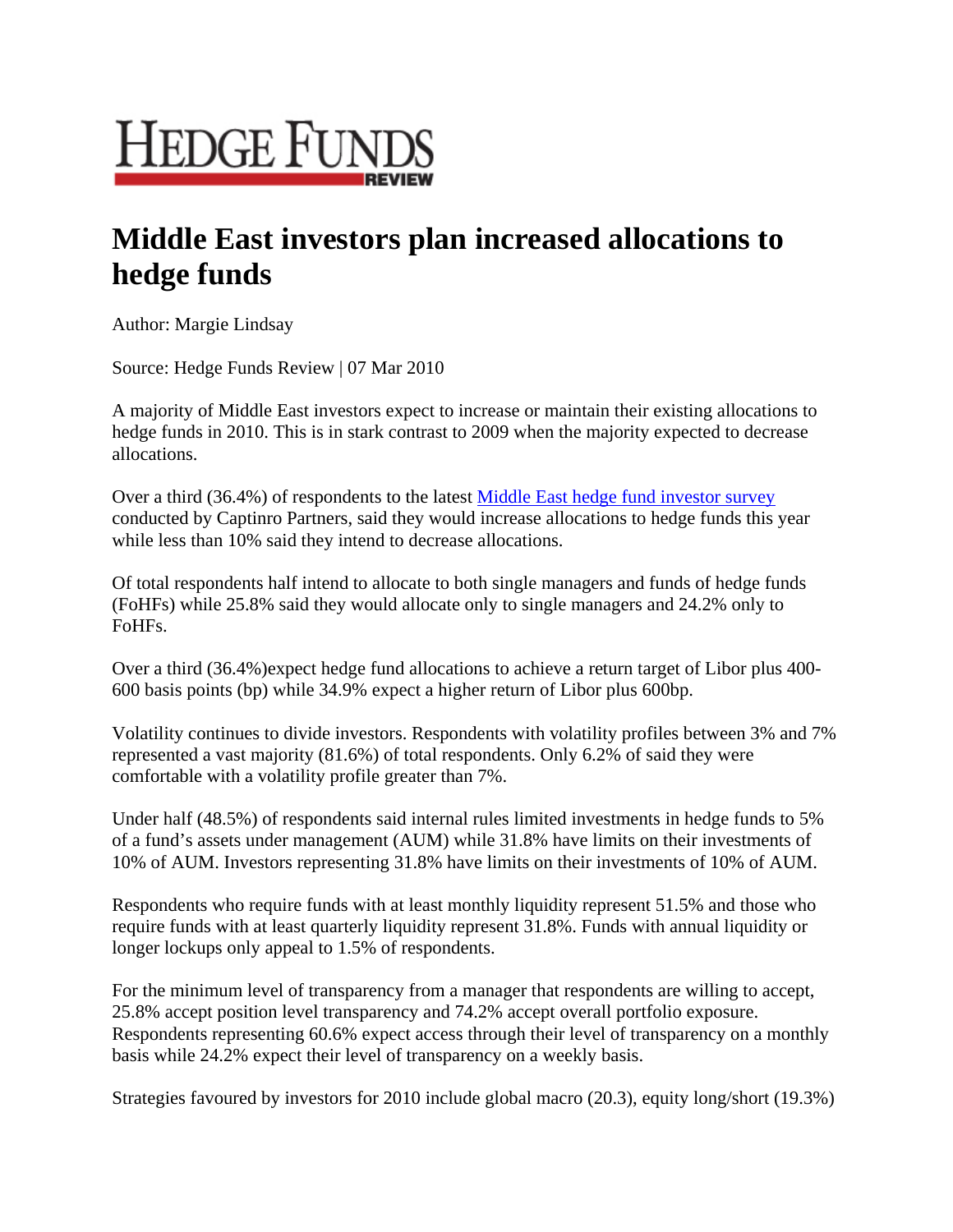

## **Middle East investors plan increased allocations to hedge funds**

Author: Margie Lindsay

Source: Hedge Funds Review | 07 Mar 2010

A majority of Middle East investors expect to increase or maintain their existing allocations to hedge funds in 2010. This is in stark contrast to 2009 when the majority expected to decrease allocations.

Over a third (36.4%) of respondents to the latest Middle East hedge fund investor survey conducted by Captinro Partners, said they would increase allocations to hedge funds this year while less than 10% said they intend to decrease allocations.

Of total respondents half intend to allocate to both single managers and funds of hedge funds (FoHFs) while 25.8% said they would allocate only to single managers and 24.2% only to FoHFs.

Over a third (36.4%)expect hedge fund allocations to achieve a return target of Libor plus 400- 600 basis points (bp) while 34.9% expect a higher return of Libor plus 600bp.

Volatility continues to divide investors. Respondents with volatility profiles between 3% and 7% represented a vast majority (81.6%) of total respondents. Only 6.2% of said they were comfortable with a volatility profile greater than 7%.

Under half (48.5%) of respondents said internal rules limited investments in hedge funds to 5% of a fund's assets under management (AUM) while 31.8% have limits on their investments of 10% of AUM. Investors representing 31.8% have limits on their investments of 10% of AUM.

Respondents who require funds with at least monthly liquidity represent 51.5% and those who require funds with at least quarterly liquidity represent 31.8%. Funds with annual liquidity or longer lockups only appeal to 1.5% of respondents.

For the minimum level of transparency from a manager that respondents are willing to accept, 25.8% accept position level transparency and 74.2% accept overall portfolio exposure. Respondents representing 60.6% expect access through their level of transparency on a monthly basis while 24.2% expect their level of transparency on a weekly basis.

Strategies favoured by investors for 2010 include global macro (20.3), equity long/short (19.3%)